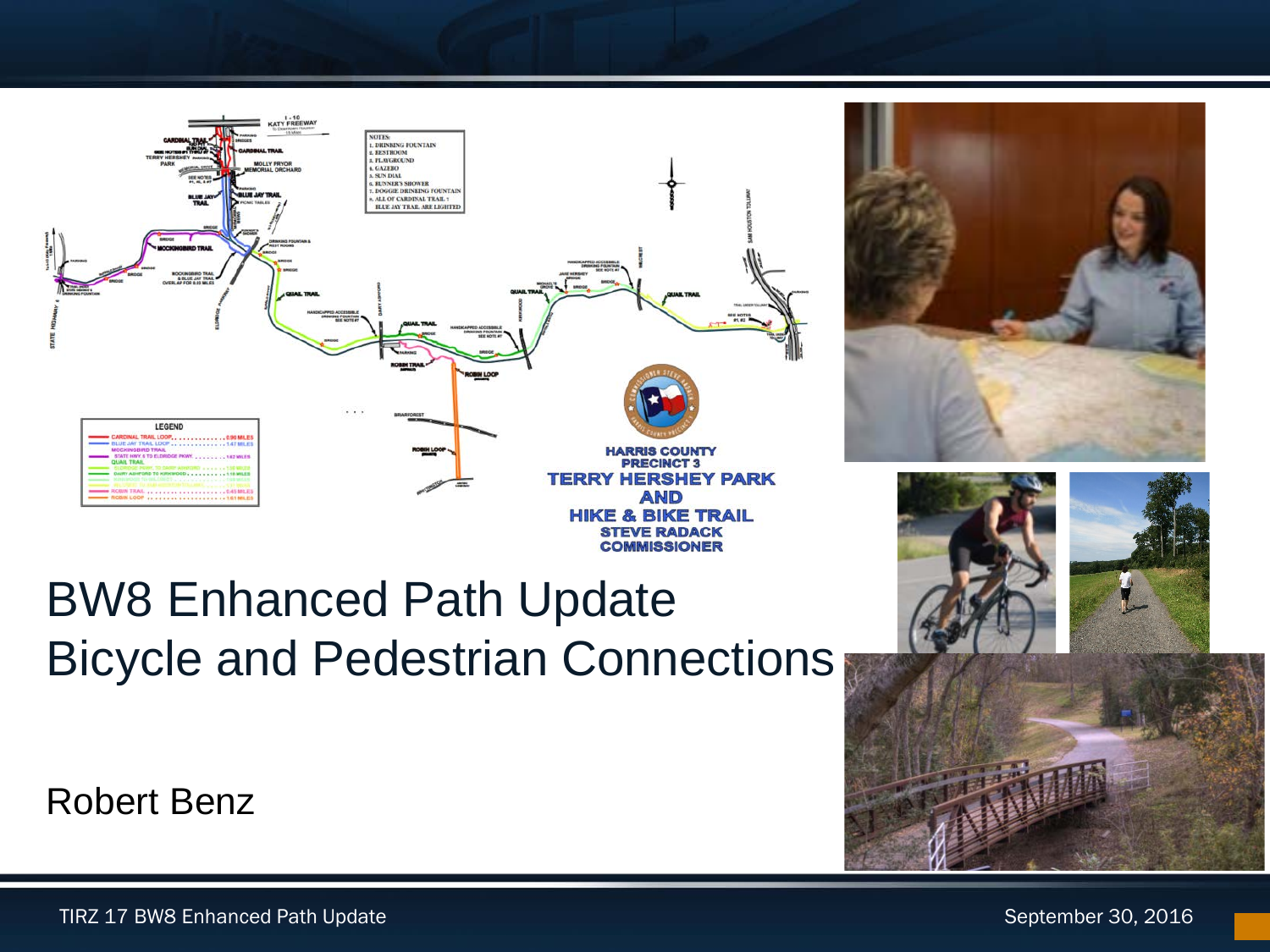



## BW8 Enhanced Path Update Bicycle and Pedestrian Connections



**Robert Benz**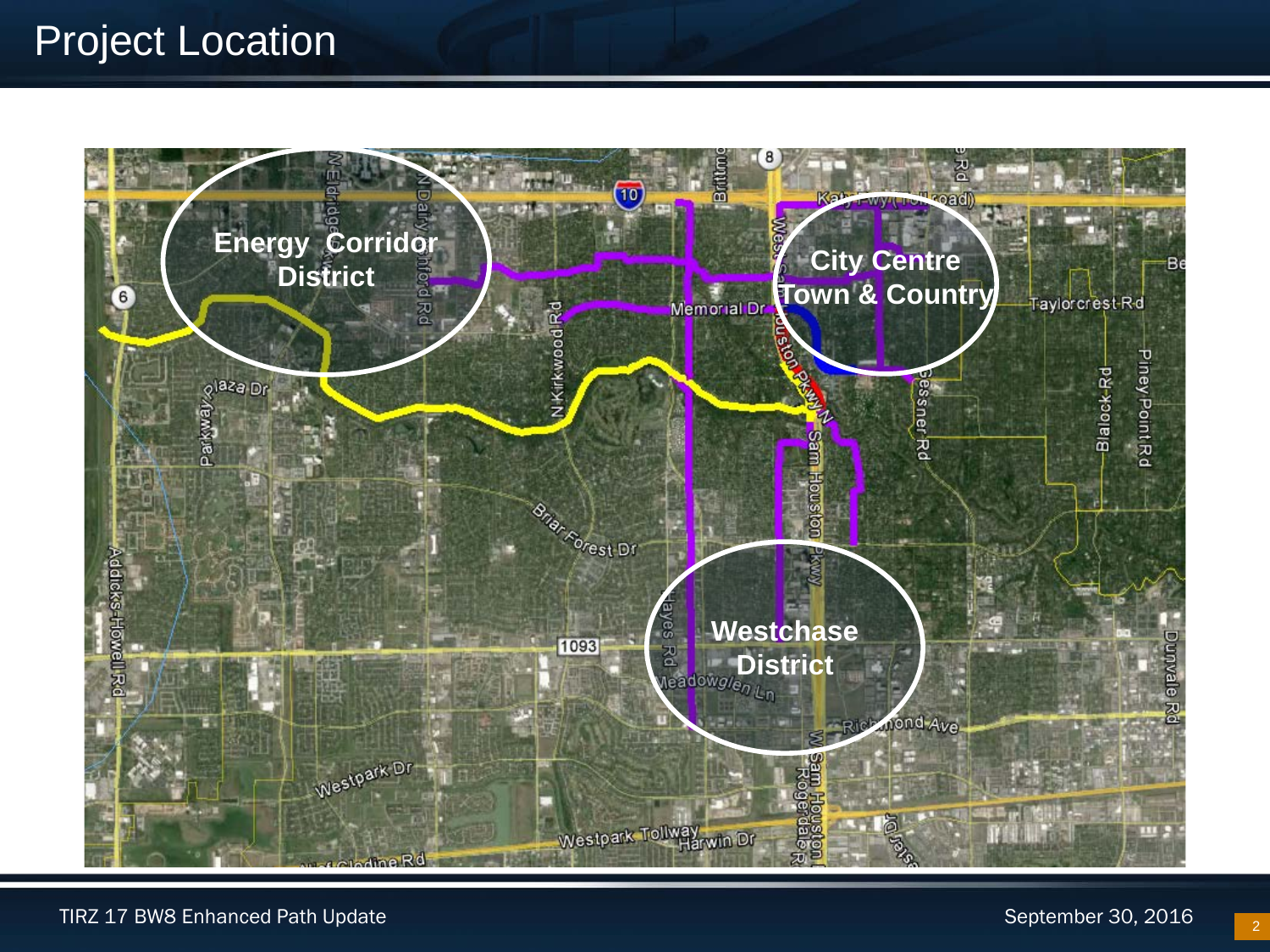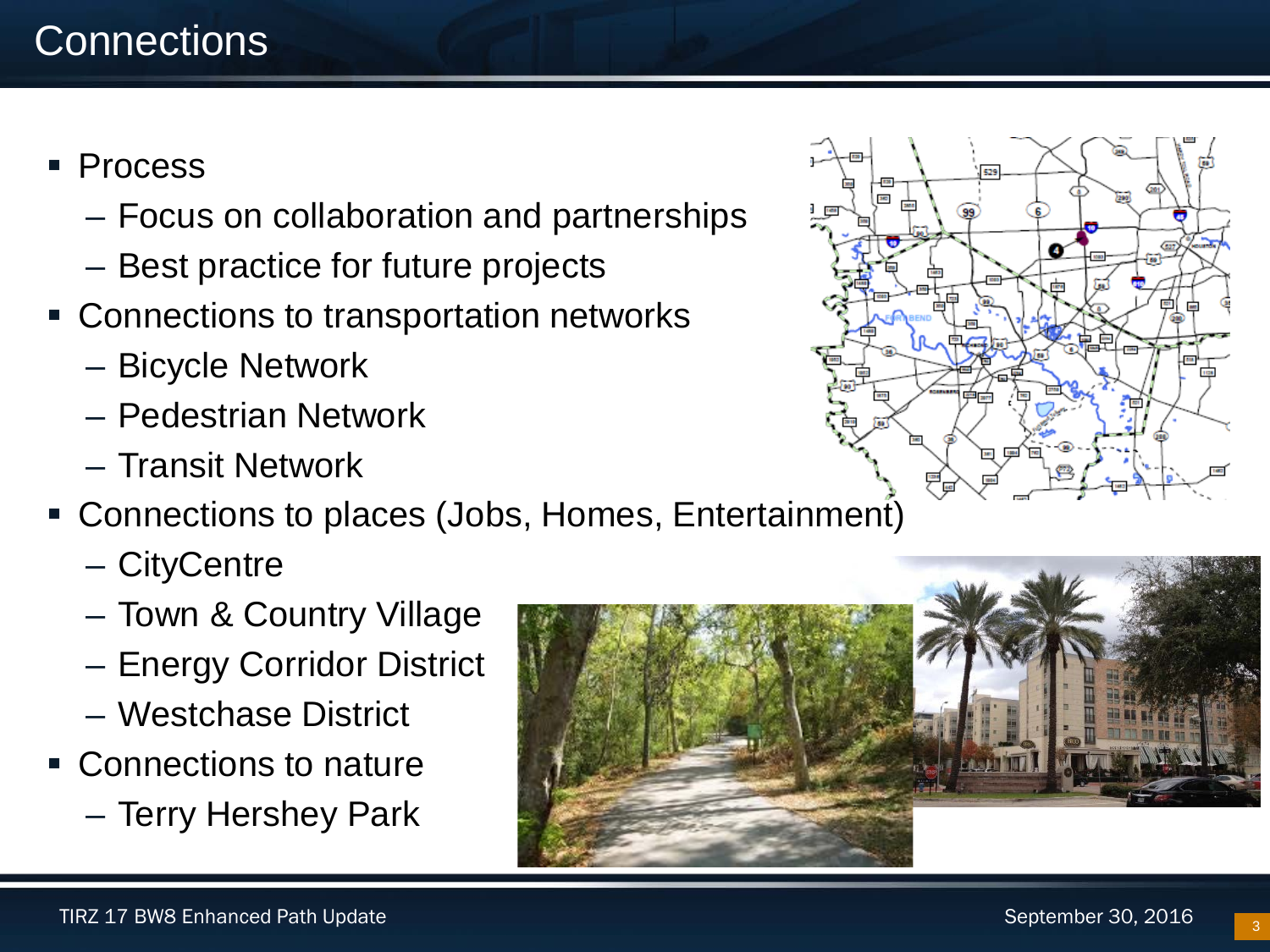- Process
	- Focus on collaboration and partnerships
	- Best practice for future projects
- Connections to transportation networks
	- Bicycle Network
	- Pedestrian Network
	- Transit Network
- Connections to places (Jobs, Homes, Entertainment)
	- CityCentre
	- Town & Country Village
	- Energy Corridor District
	- Westchase District
- Connections to nature
	- Terry Hershey Park



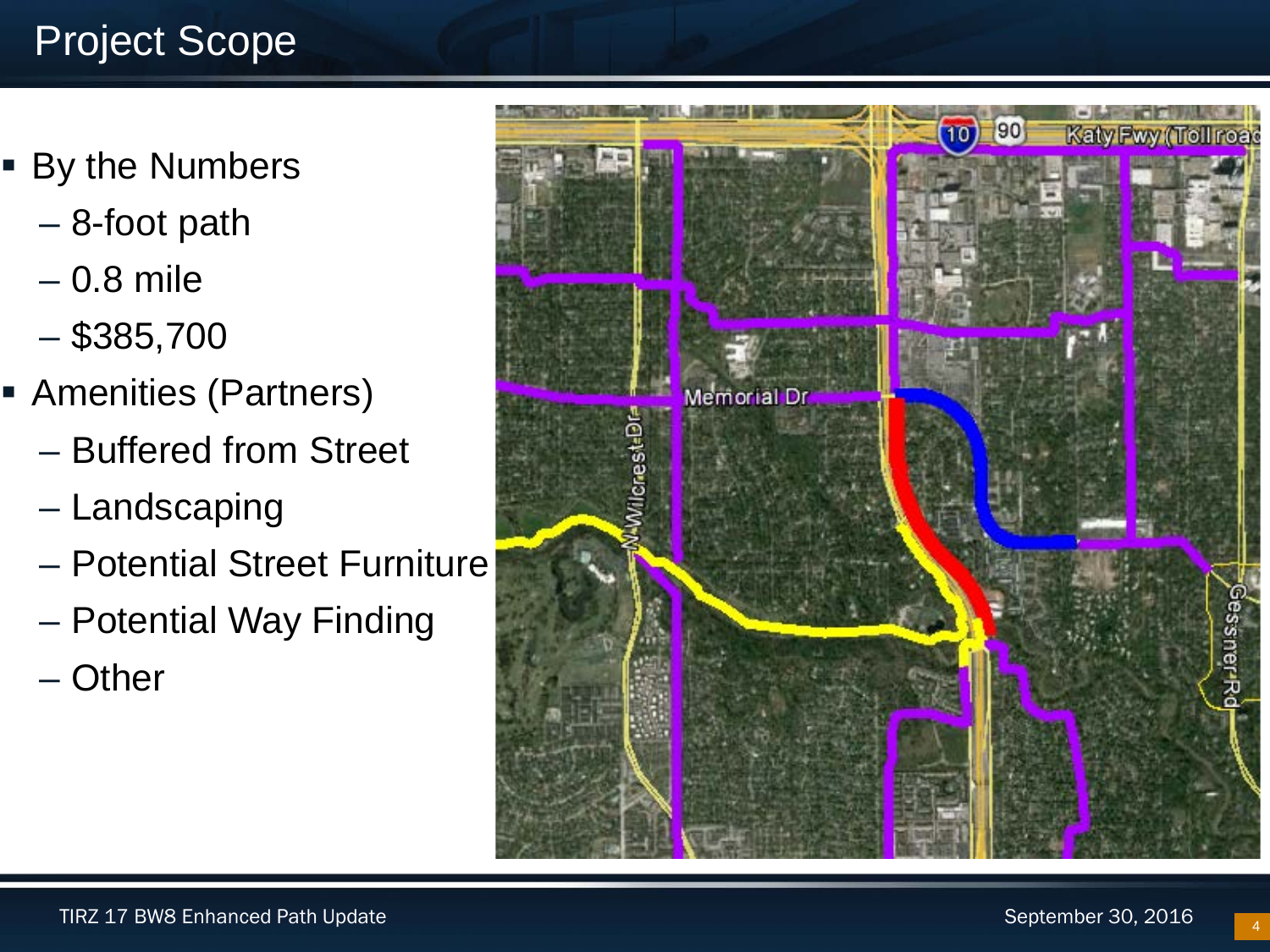## Project Scope

- By the Numbers
	- 8-foot path
	- 0.8 mile
	- $-$ \$385,700
- **Amenities (Partners)** 
	- Buffered from Street
	- Landscaping
	- Potential Street Furniture
	- Potential Way Finding
	- Other

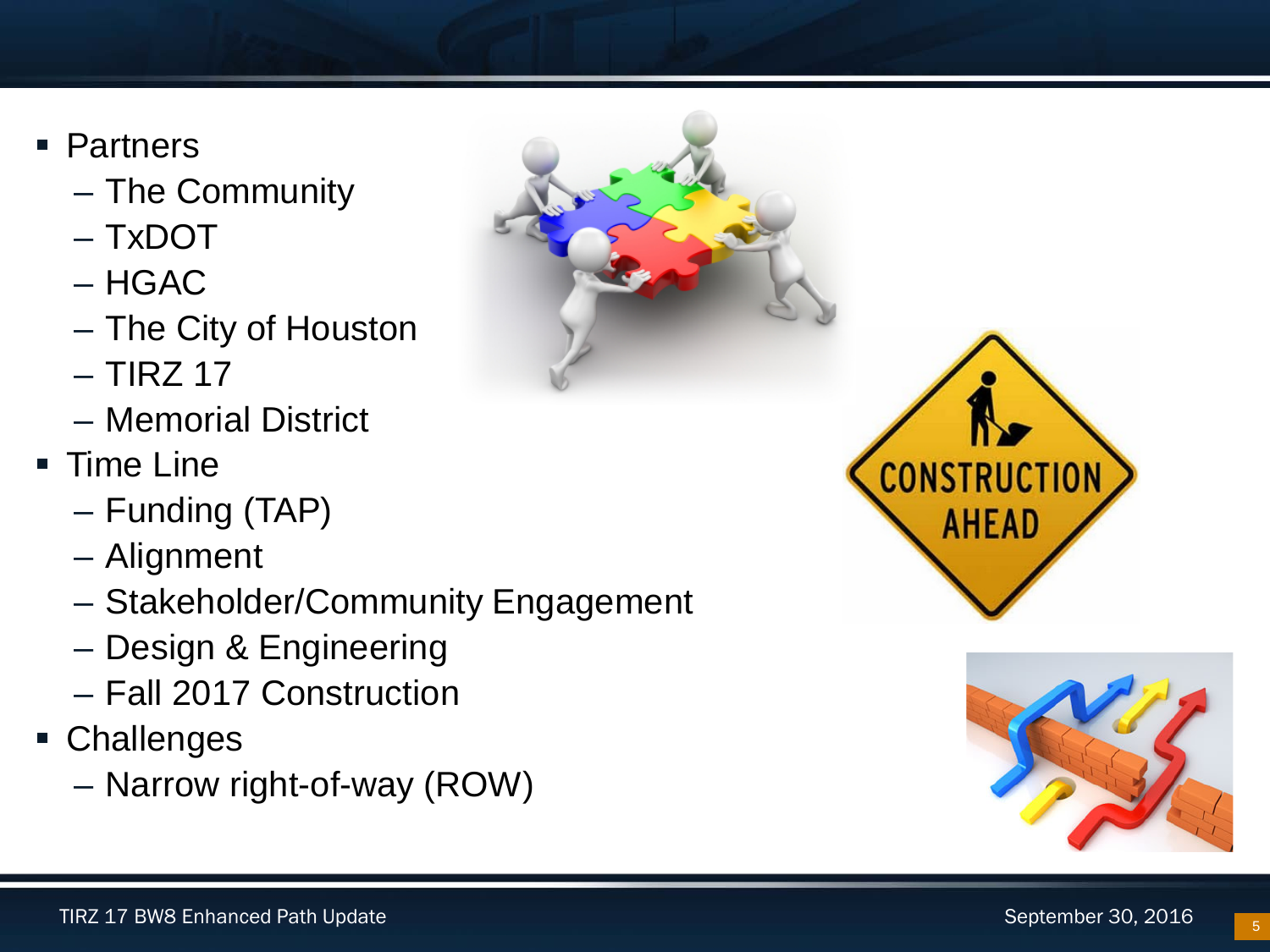- Partners
	- The Community
	- TxDOT
	- HGAC
	- The City of Houston
	- $-$  TIRZ 17
	- Memorial District
- Time Line
	- Funding (TAP)
	- Alignment
	- Stakeholder/Community Engagement
	- Design & Engineering
	- Fall 2017 Construction
- Challenges
	- Narrow right-of-way (ROW)





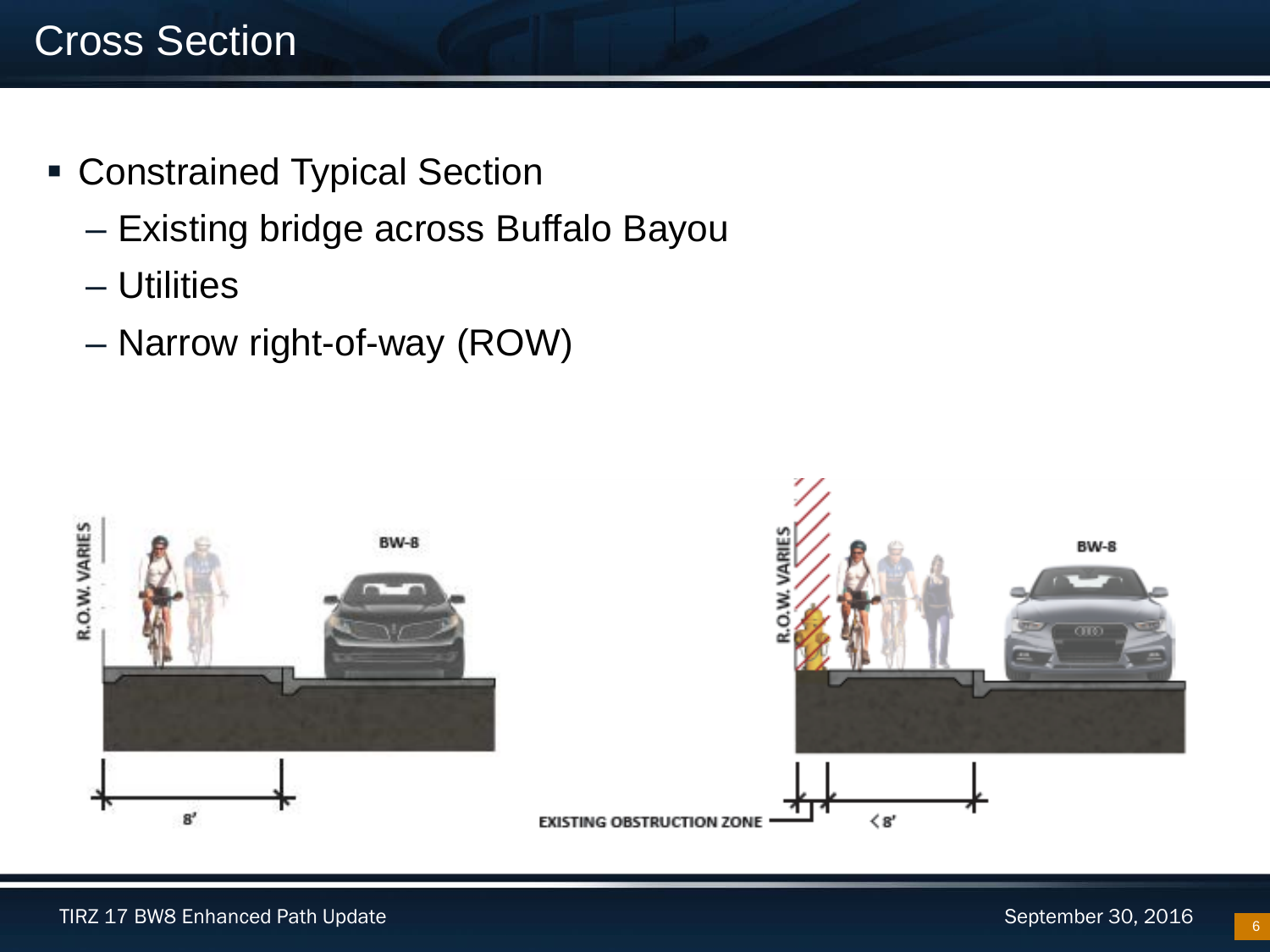- Constrained Typical Section
	- Existing bridge across Buffalo Bayou
	- Utilities
	- Narrow right-of-way (ROW)

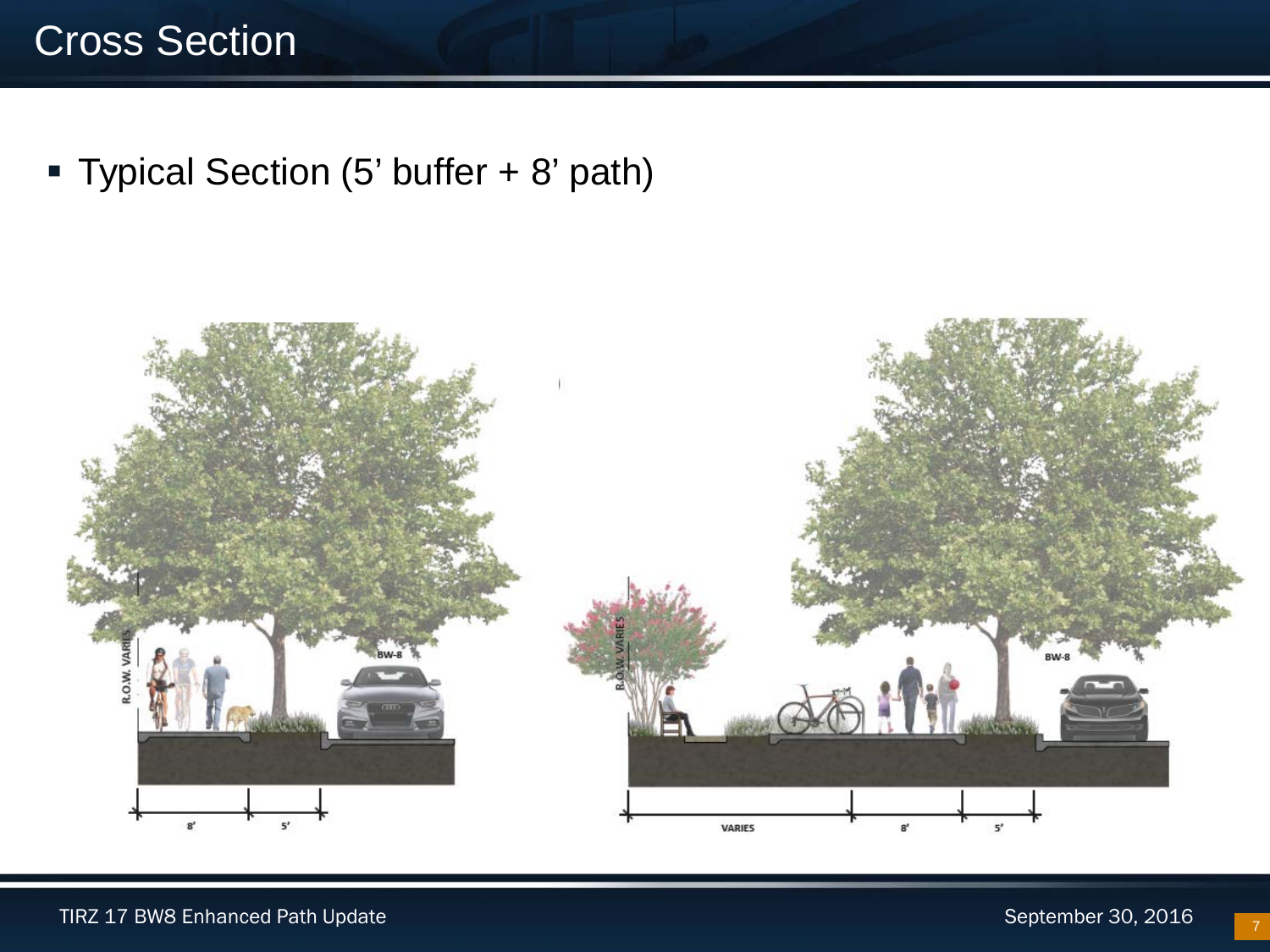Typical Section (5' buffer + 8' path)